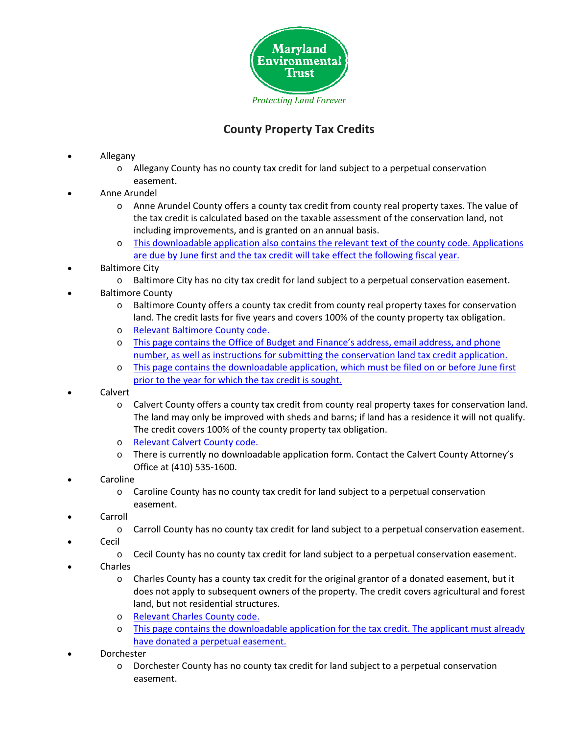

## **County Property Tax Credits**

- Allegany
	- o Allegany County has no county tax credit for land subject to a perpetual conservation easement.
- Anne Arundel
	- o Anne Arundel County offers a county tax credit from county real property taxes. The value of the tax credit is calculated based on the taxable assessment of the conservation land, not including improvements, and is granted on an annual basis.
	- o This [downloadable](http://www.aacounty.org/Finance/Resources/ConservationTaxCredit.pdf) application also contains the relevant text of the county code. Applications are due by June first and the tax credit will take effect the [following](http://www.aacounty.org/Finance/Resources/ConservationTaxCredit.pdf) fiscal year.
- Baltimore City
	- o Baltimore City has no city tax credit for land subject to a perpetual conservation easement.
- Baltimore County
	- o Baltimore County offers a county tax credit from county real property taxes for conservation land. The credit lasts for five years and covers 100% of the county property tax obligation.
	- o Relevant [Baltimore](http://www.amlegal.com/nxt/gateway.dll/Maryland/baltimore_co/article11taxation/title2advaloremtaxes?f=templates$fn=default.htm$3.0$vid=amlegal:baltimoreco_md$anc=JD_11-2-110) County code.
	- o This page contains the Office of Budget and [Finance's](http://www.baltimorecountymd.gov/Agencies/budfin/customerservice/taxpayerservices/taxcredits/conservation.html) address, email address, and phone number, as well as instructions for submitting the [conservation](http://www.baltimorecountymd.gov/Agencies/budfin/customerservice/taxpayerservices/taxcredits/conservation.html) land tax credit application.
	- o This page contains the [downloadable](http://resources.baltimorecountymd.gov/Documents/Budget/realpropertytaxcredit/conservationlandtaxcreditapp150209.pdf) application, which must be filed on or before June first prior to the year for which the tax credit is [sought.](http://resources.baltimorecountymd.gov/Documents/Budget/realpropertytaxcredit/conservationlandtaxcreditapp150209.pdf)
- Calvert
	- o Calvert County offers a county tax credit from county real property taxes for conservation land. The land may only be improved with sheds and barns; if land has a residence it will not qualify. The credit covers 100% of the county property tax obligation.
	- o [Relevant](http://ecode360.com/15524011) Calvert County code.
	- o There is currently no downloadable application form. Contact the Calvert County Attorney's Office at (410) 535‐1600.
- Caroline
	- $\circ$  Caroline County has no county tax credit for land subject to a perpetual conservation easement.
- Carroll
	- o Carroll County has no county tax credit for land subject to a perpetual conservation easement.
- Cecil
	- o Cecil County has no county tax credit for land subject to a perpetual conservation easement.
- Charles
	- $\circ$  Charles County has a county tax credit for the original grantor of a donated easement, but it does not apply to subsequent owners of the property. The credit covers agricultural and forest land, but not residential structures.
	- o [Relevant](http://ecode360.com/29340589) Charles County code.
	- o This page contains the [downloadable](http://www.charlescountymd.gov/sites/default/files/fas/treasury/perpetualconservationeasementapplication2.pdf) application for the tax credit. The applicant must already have donated a perpetual [easement.](http://www.charlescountymd.gov/sites/default/files/fas/treasury/perpetualconservationeasementapplication2.pdf)
- Dorchester
	- o Dorchester County has no county tax credit for land subject to a perpetual conservation easement.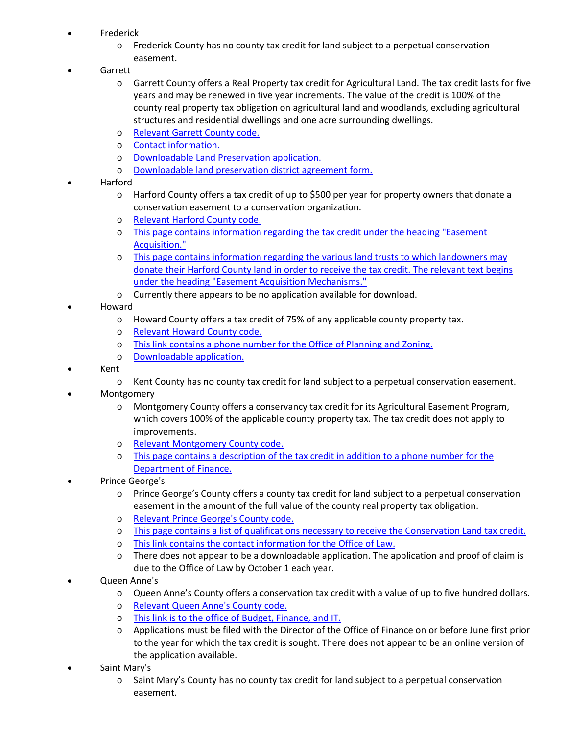- Frederick
	- o Frederick County has no county tax credit for land subject to a perpetual conservation easement.
- Garrett
	- o Garrett County offers a Real Property tax credit for Agricultural Land. The tax credit lasts for five years and may be renewed in five year increments. The value of the credit is 100% of the county real property tax obligation on agricultural land and woodlands, excluding agricultural structures and residential dwellings and one acre surrounding dwellings.
	- o [Relevant](http://www.amlegal.com/nxt/gateway.dll/Maryland/garrettco_md/titlexvlandusage/chapter152agriculturallandtaxcredit?f=templates$fn=default.htm$3.0$vid=amlegal:garrettco_md$anc=JD_152.01) Garrett County code.
	- o Contact [information.](https://www.garrettcounty.org/planning-land-development/land-preservation)
	- o [Downloadable](https://www.garrettcounty.org/resources/planning-land-development/pdf/AgLand/property_description_000.pdf) Land Preservation application.
	- o [Downloadable](https://www.garrettcounty.org/resources/planning-land-development/pdf/AgLand/district_agreement_000.pdf) land preservation district agreement form.
- Harford
	- $\circ$  Harford County offers a tax credit of up to \$500 per year for property owners that donate a conservation easement to a conservation organization.
	- o [Relevant](http://www.ecode360.com/9372008) Harford County code.
	- o This page contains [information](http://www.harfordcountymd.gov/parks_rec/LandPreservation/ch5.html) regarding the tax credit under the heading "Easement [Acquisition."](http://www.harfordcountymd.gov/parks_rec/LandPreservation/ch5.html)
	- o This page contains [information](http://www.harfordcountymd.gov/parks_rec/LandPreservation/ch4.html) regarding the various land trusts to which landowners may donate their Harford County land in order to receive the tax credit. The [relevant](http://www.harfordcountymd.gov/parks_rec/LandPreservation/ch4.html) text begins under the heading "Easement Acquisition [Mechanisms."](http://www.harfordcountymd.gov/parks_rec/LandPreservation/ch4.html)
	- o Currently there appears to be no application available for download.
- Howard
	- o Howard County offers a tax credit of 75% of any applicable county property tax.
	- o [Relevant](https://www.municode.com/library/md/howard_county/codes/code_of_ordinances?nodeId=HOCOCO_TIT20TACHFE_SUBTITLE_1REPRTAADCREN_PTIIISTTHHOCOTACR_S20.128PRTACRCOLA) Howard County code.
	- o This link contains a phone number for the Office of [Planning](http://www.howardcountymd.gov/Departments.aspx?ID=4294967781#ALPP) and Zoning.
	- o [Downloadable](http://countyofhowardmd.us/WorkArea/linkit.aspx?LinkIdentifier=id&ItemID=6442478592&libID=6442478585) application.
- Kent
	- o Kent County has no county tax credit for land subject to a perpetual conservation easement.
- Montgomery
	- o Montgomery County offers a conservancy tax credit for its Agricultural Easement Program, which covers 100% of the applicable county property tax. The tax credit does not apply to improvements.
	- o Relevant [Montgomery](http://www.amlegal.com/nxt/gateway.dll/Maryland/montgom/partiilocallawsordinancesresolutionsetc/chapter52taxation*note?f=templates$fn=default.htm$3.0$vid=amlegal:montgomeryco_md_mc$anc=JD_52-65) County code.
	- o This page contains a [description](http://www.montgomerycountymd.gov/finance/taxes/tax_credit_exempt.html#p11) of the tax credit in addition to a phone number for the [Department](http://www.montgomerycountymd.gov/finance/taxes/tax_credit_exempt.html#p11) of Finance.
- Prince George's
	- o Prince George's County offers a county tax credit for land subject to a perpetual conservation easement in the amount of the full value of the county real property tax obligation.
	- o Relevant Prince [George's](https://www.municode.com/library/md/prince_george) County code.
	- o This page contains a list of [qualifications](http://www.princegeorgescountymd.gov/sites/Finance/Resources/Forms/Pages/Property-Tax-Credits.aspx) necessary to receive the Conservation Land tax credit.
	- o This link contains the contact [information](http://www.princegeorgescountymd.gov/sites/officeoflaw/Pages/default.aspx) for the Office of Law.
	- $\circ$  There does not appear to be a downloadable application. The application and proof of claim is due to the Office of Law by October 1 each year.
- Queen Anne's
	- o Queen Anne's County offers a conservation tax credit with a value of up to five hundred dollars.
	- o [Relevant](http://ecode360.com/7129008) Queen Anne's County code.
	- o This link is to the office of Budget, [Finance,](http://www.qac.org/417/Office-of-Budget-Finance-and-IT) and IT.
	- o Applications must be filed with the Director of the Office of Finance on or before June first prior to the year for which the tax credit is sought. There does not appear to be an online version of the application available.
- Saint Mary's
	- $\circ$  Saint Mary's County has no county tax credit for land subject to a perpetual conservation easement.